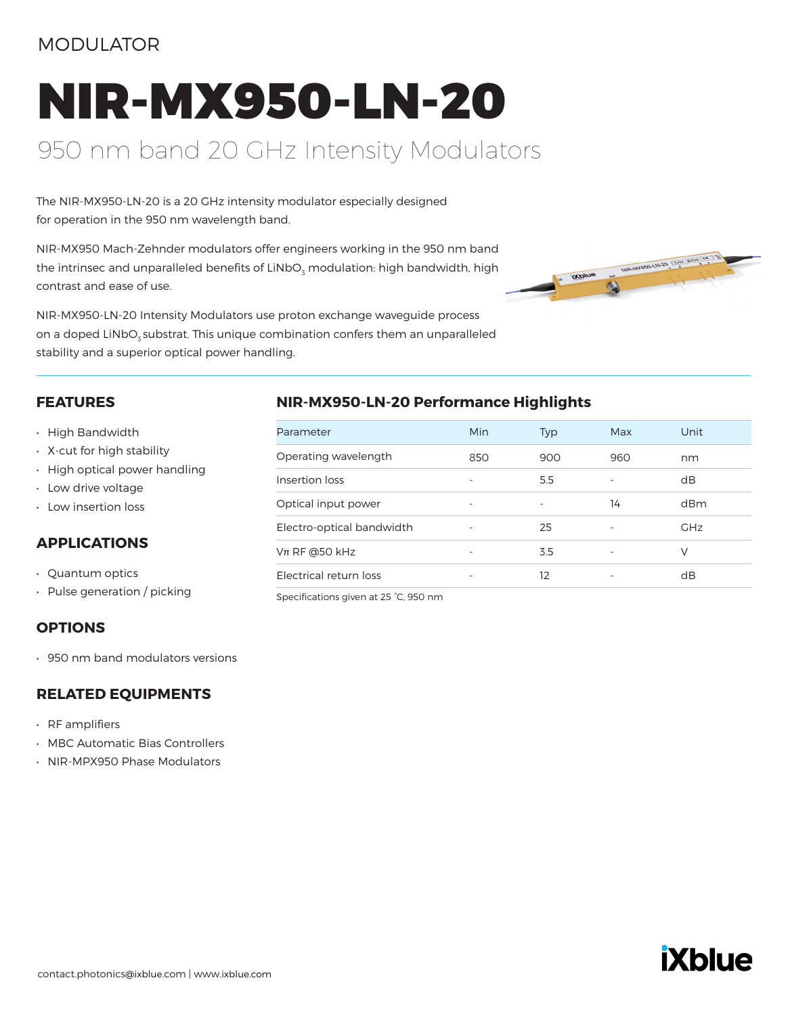# MODULATOR

# NIR-MX950-LN-20 950 nm band 20 GHz Intensity Modulators

The NIR-MX950-LN-20 is a 20 GHz intensity modulator especially designed for operation in the 950 nm wavelength band.

NIR-MX950 Mach-Zehnder modulators offer engineers working in the 950 nm band the intrinsec and unparalleled benefits of LiNbO<sub>3</sub> modulation: high bandwidth, high contrast and ease of use.

NIR-MX950-LN-20 Intensity Modulators use proton exchange waveguide process on a doped LiNbO<sub>z</sub> substrat. This unique combination confers them an unparalleled stability and a superior optical power handling.



#### **FEATURES**

- High Bandwidth
- X-cut for high stability
- High optical power handling
- Low drive voltage
- Low insertion loss

# **APPLICATIONS**

- Quantum optics
- Pulse generation / picking

### **OPTIONS**

• 950 nm band modulators versions

# **RELATED EQUIPMENTS**

- RF amplifiers
- MBC Automatic Bias Controllers
- NIR-MPX950 Phase Modulators

# **NIR-MX950-LN-20 Performance Highlights**

| Parameter                 | Min                      | Typ | Max | Unit       |
|---------------------------|--------------------------|-----|-----|------------|
| Operating wavelength      | 850                      | 900 | 960 | nm         |
| Insertion loss            | $\overline{\phantom{a}}$ | 5.5 |     | dB         |
| Optical input power       | $\overline{\phantom{a}}$ |     | 14  | dBm        |
| Electro-optical bandwidth |                          | 25  |     | <b>GHz</b> |
| $Vπ$ RF @50 kHz           |                          | 3.5 |     | V          |
| Electrical return loss    |                          | 12  |     | dB         |
|                           |                          |     |     |            |

Specifications given at 25 °C, 950 nm

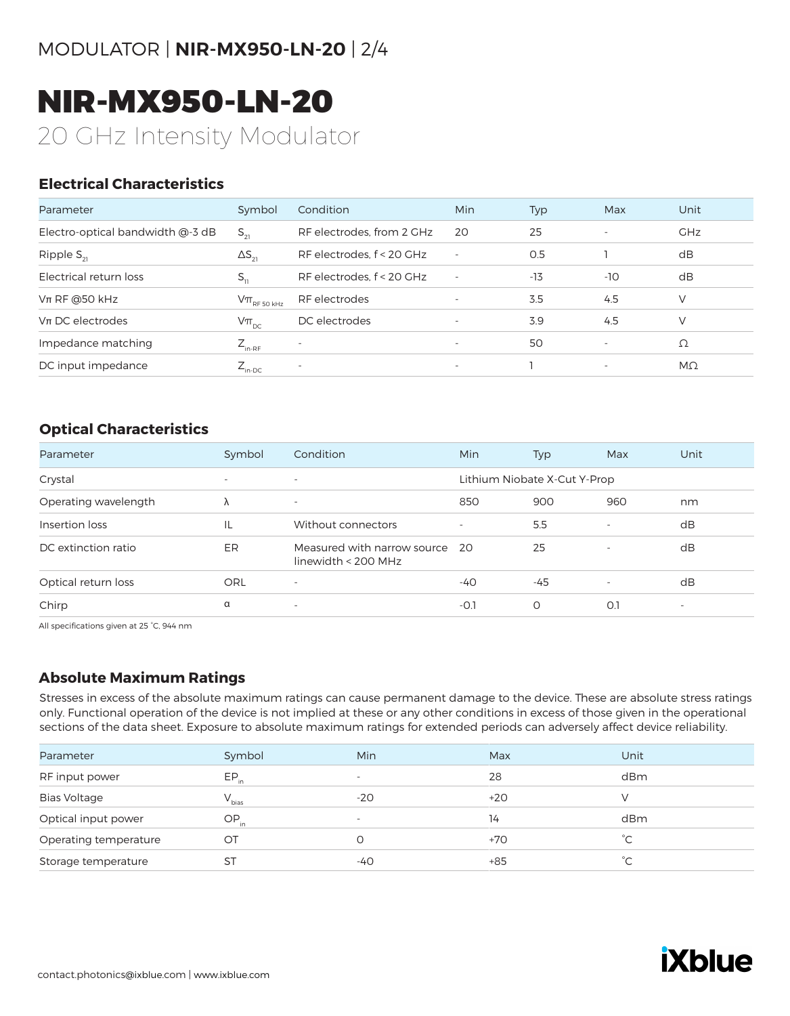NIR-MX950-LN-20 20 GHz Intensity Modulator

# **Electrical Characteristics**

| Parameter                        | Symbol                                                                              | Condition                 | <b>Min</b>               | Typ   | Max                      | Unit       |
|----------------------------------|-------------------------------------------------------------------------------------|---------------------------|--------------------------|-------|--------------------------|------------|
| Electro-optical bandwidth @-3 dB | $S_{21}$                                                                            | RF electrodes, from 2 GHz | 20                       | 25    | $\sim$                   | <b>GHz</b> |
| Ripple $S_{21}$                  | $\Delta S_{21}$                                                                     | RF electrodes, f < 20 GHz |                          | 0.5   |                          | dB         |
| Electrical return loss           | $S_{11}$                                                                            | RF electrodes, f < 20 GHz | $\overline{\phantom{a}}$ | $-13$ | -10                      | dB         |
| $Vπ$ RF @50 kHz                  | $\mathsf{V}\pi_{\scriptscriptstyle\mathrm{RF}\,50\,\scriptscriptstyle\mathrm{kHz}}$ | RF electrodes             |                          | 3.5   | 4.5                      | V          |
| $Vπ$ DC electrodes               | $V\pi_{\text{DC}}$                                                                  | DC electrodes             |                          | 3.9   | 4.5                      | V          |
| Impedance matching               | $Z_{_{\text{in-RF}}}$                                                               | $\overline{\phantom{a}}$  | $\overline{\phantom{a}}$ | 50    | $\overline{\phantom{a}}$ | Ω          |
| DC input impedance               | $Z_{_{\text{in-DC}}}$                                                               | $\overline{\phantom{0}}$  | $\overline{\phantom{a}}$ |       | $\overline{\phantom{a}}$ | $M\Omega$  |

# **Optical Characteristics**

| Parameter            | Symbol                   | Condition                                          | Min    | Typ                          | Max                      | Unit                     |
|----------------------|--------------------------|----------------------------------------------------|--------|------------------------------|--------------------------|--------------------------|
| Crystal              | $\overline{\phantom{a}}$ | $\overline{\phantom{a}}$                           |        | Lithium Niobate X-Cut Y-Prop |                          |                          |
| Operating wavelength | Λ                        | $\overline{\phantom{a}}$                           | 850    | 900                          | 960                      | nm                       |
| Insertion loss       | IL                       | Without connectors                                 |        | 5.5                          | $\overline{\phantom{a}}$ | dB                       |
| DC extinction ratio  | ER                       | Measured with narrow source<br>linewidth < 200 MHz | -20    | 25                           | $\overline{\phantom{a}}$ | dB                       |
| Optical return loss  | ORL                      | $\overline{\phantom{a}}$                           | $-40$  | $-45$                        | $\overline{\phantom{a}}$ | dB                       |
| Chirp                | α                        | $\overline{\phantom{a}}$                           | $-0.1$ | 0                            | O.1                      | $\overline{\phantom{a}}$ |

All specifications given at 25 °C, 944 nm

# **Absolute Maximum Ratings**

Stresses in excess of the absolute maximum ratings can cause permanent damage to the device. These are absolute stress ratings only. Functional operation of the device is not implied at these or any other conditions in excess of those given in the operational sections of the data sheet. Exposure to absolute maximum ratings for extended periods can adversely affect device reliability.

| Parameter             | Symbol     | Min                      | Max   | Unit |
|-----------------------|------------|--------------------------|-------|------|
| RF input power        | $EP_{in}$  | $\overline{\phantom{0}}$ | 28    | dBm  |
| <b>Bias Voltage</b>   | $V_{bias}$ | -20                      | $+20$ |      |
| Optical input power   | $OP_{in}$  | $\overline{\phantom{0}}$ | 14    | dBm  |
| Operating temperature | OT         |                          | $+70$ | °С   |
| Storage temperature   | <b>ST</b>  | -40                      | $+85$ | °С   |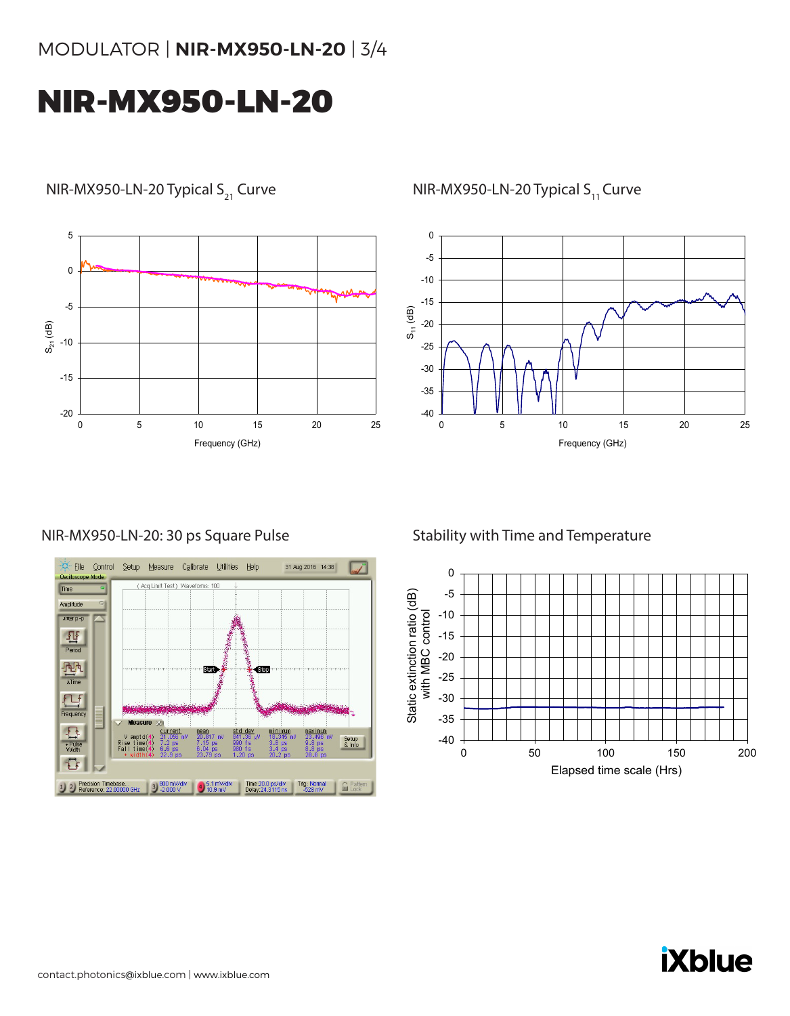# MODULATOR | **NIR-MX950-LN-20** | 3/4

# NIR-MX950-LN-20



31 Aug 2016 14:38

Trig: Normal

Setup<br>& Info

 $\mathbf{G}$ 

NIR-MX950-LN-20: 30 ps Square Pulse

Eile Control Setup Measure Calibrate Utilities Help

sure X

Rise time

1 2 Precision Timebase... 3 800 mV/div<br>Reference: 22.00000 GHz 3 -2.000 V

curre

Time

Amplitude umer p-p  $\frac{\sum_{\text{Period}}}{\text{Period}}$ 

 $\frac{\int \frac{1}{\sqrt{2}} \int \frac{1}{\sqrt{2}} \int \frac{1}{\sqrt{2}} \int \frac{1}{\sqrt{2}} \int \frac{1}{\sqrt{2}} \int \frac{1}{\sqrt{2}} \int \frac{1}{\sqrt{2}} \int \frac{1}{\sqrt{2}} \int \frac{1}{\sqrt{2}} \int \frac{1}{\sqrt{2}} \int \frac{1}{\sqrt{2}} \int \frac{1}{\sqrt{2}} \int \frac{1}{\sqrt{2}} \int \frac{1}{\sqrt{2}} \int \frac{1}{\sqrt{2}} \int \frac{1}{\sqrt{2}} \int \frac{1}{\sqrt{2}} \int \frac{1}{\sqrt{2}} \int$ 

Frequency

县

+ Pulse

 $\overline{v}$ 

(Acq Limit Test) Waveforms: 100

Start

 $\bigoplus_{10.9}$  mV/div

Ston

Time: 20.0 ps/div<br>Delay: 24.3115 ns





# Stability with Time and Temperature



**iXblue**